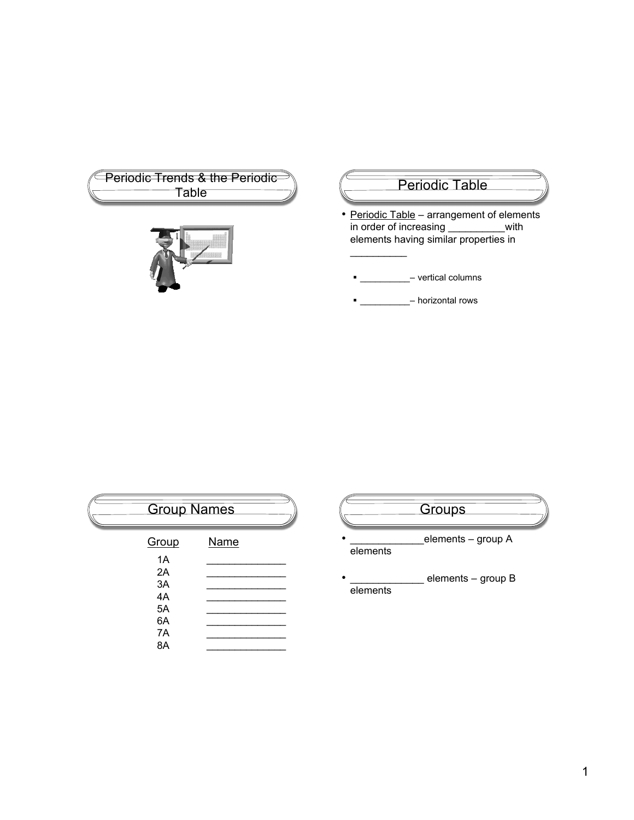| <b>Priodic Trends &amp; the Periodic</b> |  |  |  |
|------------------------------------------|--|--|--|
| Table                                    |  |  |  |
|                                          |  |  |  |
|                                          |  |  |  |
|                                          |  |  |  |
|                                          |  |  |  |
|                                          |  |  |  |

## Periodic Table

• Periodic Table – arrangement of elements<br>in order of increasing \_\_\_\_\_\_\_\_\_\_\_\_with in order of increasing \_\_\_\_\_\_ elements having similar properties in

 $\blacksquare$  - vertical columns

 $\frac{1}{2}$ 

 $\blacksquare$  - horizontal rows

|                      | <b>Group Names</b> |  |  |
|----------------------|--------------------|--|--|
| Group                | Name               |  |  |
| 1A<br>2A<br>3A<br>4A |                    |  |  |
| 5A                   |                    |  |  |
| 6A<br>7A<br>8A       |                    |  |  |

| Groups             |  |
|--------------------|--|
|                    |  |
| elements – group A |  |

elements

• \_\_\_\_\_\_\_\_\_\_\_\_\_\_\_\_ elements – group B elements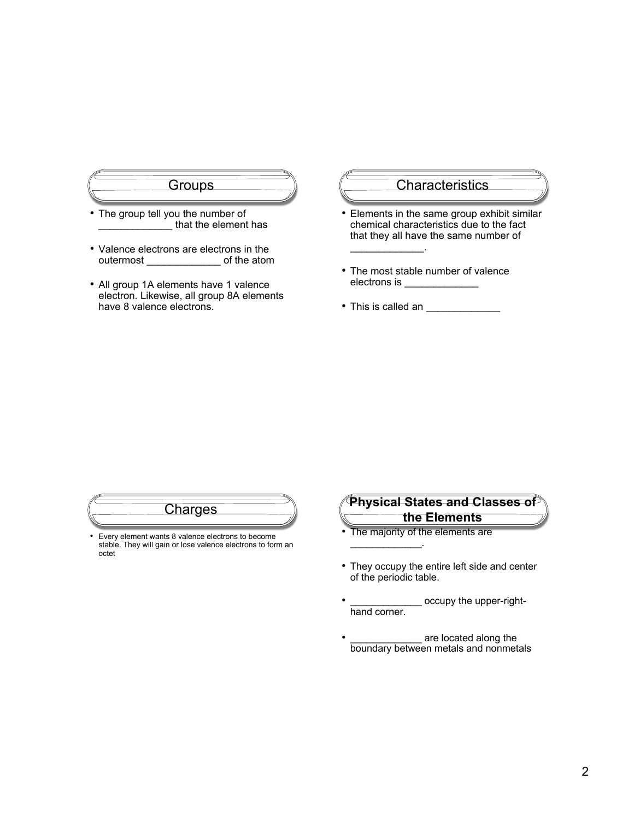

- The group tell you the number of that the element has
- Valence electrons are electrons in the outermost \_\_\_\_\_\_\_\_\_\_\_\_\_ of the atom
- All group 1A elements have 1 valence electron. Likewise, all group 8A elements have 8 valence electrons.

#### **Characteristics**

- Elements in the same group exhibit similar chemical characteristics due to the fact that they all have the same number of
- The most stable number of valence electrons is \_\_\_\_\_\_\_\_\_\_\_\_\_

 $\mathcal{L}_\text{max}$  and  $\mathcal{L}_\text{max}$ 

• This is called an \_\_\_\_\_\_\_\_\_\_\_\_\_

| arnes                                            |  |
|--------------------------------------------------|--|
| Even element wants 8 valence electrons to become |  |

• Every element wants 8 valence electrons to become stable. They will gain or lose valence electrons to form an octet



- The majority of the elements are  $\mathcal{L}=\mathcal{L}^{\mathcal{L}}$  , where  $\mathcal{L}^{\mathcal{L}}$
- They occupy the entire left side and center of the periodic table.
- occupy the upper-righthand corner.
- are located along the boundary between metals and nonmetals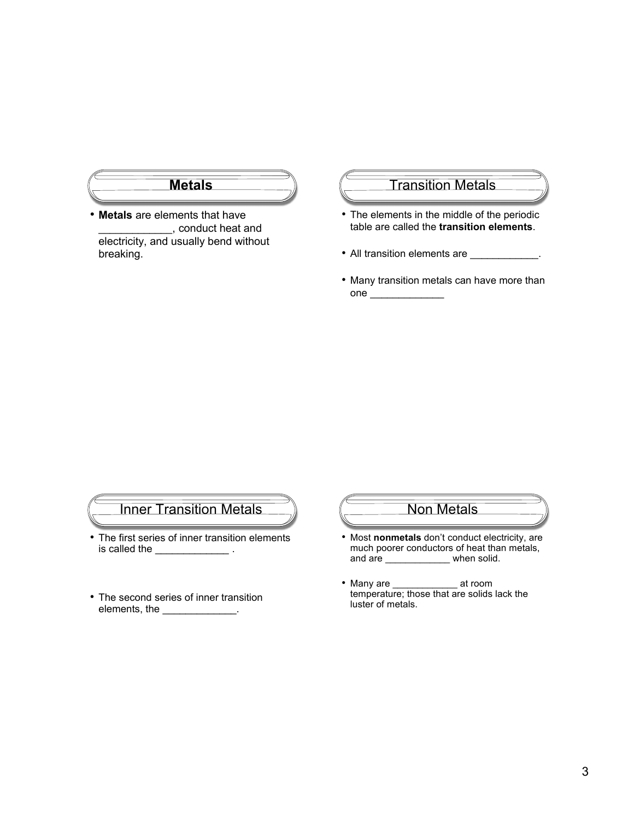

• **Metals** are elements that have \_\_\_\_\_\_\_\_\_\_\_\_\_, conduct heat and electricity, and usually bend without breaking.

#### Transition Metals

- The elements in the middle of the periodic table are called the **transition elements**.
- All transition elements are \_\_\_\_\_\_\_\_\_\_\_.
- Many transition metals can have more than one  $\qquad \qquad$

## Inner Transition Metals

- The first series of inner transition elements is called the \_\_\_\_\_\_\_\_\_\_\_\_\_\_\_\_\_.
- The second series of inner transition elements, the \_\_\_\_\_\_\_\_\_\_\_\_\_\_.

#### Non Metals

- Most **nonmetals** don't conduct electricity, are much poorer conductors of heat than metals, and are \_\_\_\_\_\_\_\_\_\_\_\_\_ when solid.
- Many are \_\_\_\_\_\_\_\_\_\_\_\_\_\_ at room temperature; those that are solids lack the luster of metals.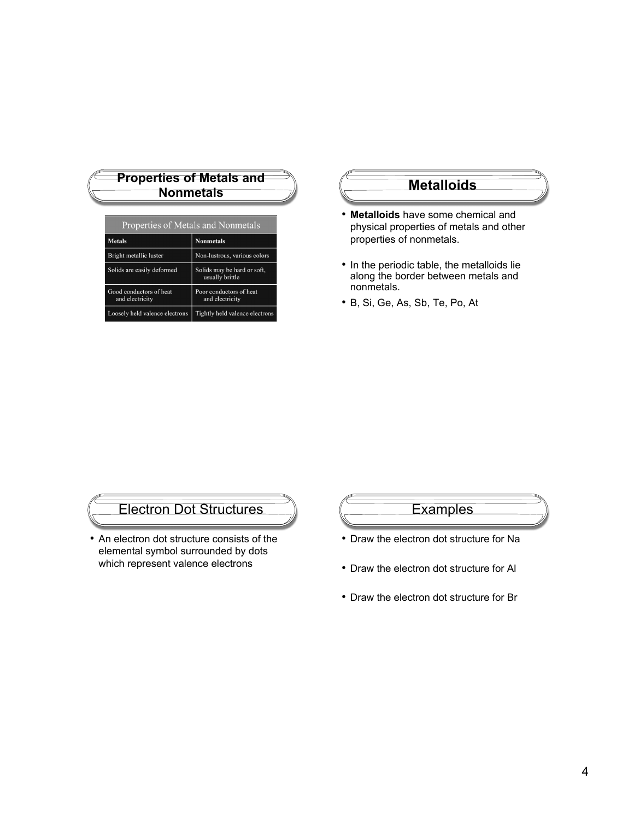| <b>Properties of Metals and</b>    |                  |  |  |  |
|------------------------------------|------------------|--|--|--|
| <b>Nonmetals</b>                   |                  |  |  |  |
|                                    |                  |  |  |  |
| Properties of Metals and Nonmetals |                  |  |  |  |
| <b>Metals</b>                      | <b>Nonmetals</b> |  |  |  |

| Bright metallic luster                     | Non-lustrous, various colors                   |
|--------------------------------------------|------------------------------------------------|
| Solids are easily deformed                 | Solids may be hard or soft,<br>usually brittle |
| Good conductors of heat<br>and electricity | Poor conductors of heat<br>and electricity     |
| Loosely held valence electrons             | Tightly held valence electrons                 |

#### **Metalloids**

- **Metalloids** have some chemical and physical properties of metals and other properties of nonmetals.
- In the periodic table, the metalloids lie along the border between metals and nonmetals.
- B, Si, Ge, As, Sb, Te, Po, At

## Electron Dot Structures

• An electron dot structure consists of the elemental symbol surrounded by dots which represent valence electrons

## **Examples**

- Draw the electron dot structure for Na
- Draw the electron dot structure for Al
- Draw the electron dot structure for Br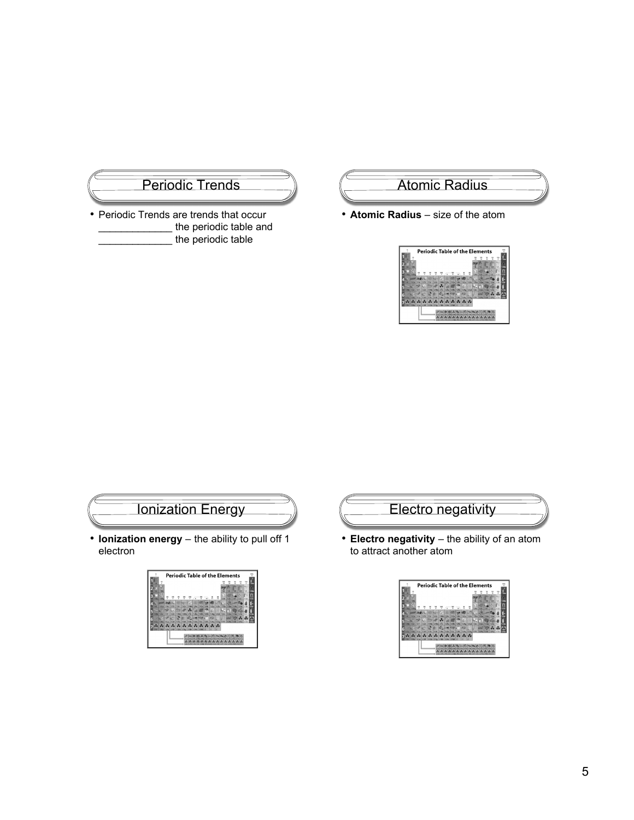# Periodic Trends

• Periodic Trends are trends that occur the periodic table and the periodic table

#### Atomic Radius

• **Atomic Radius** – size of the atom





• **Ionization energy** – the ability to pull off 1 electron





• **Electro negativity** – the ability of an atom to attract another atom